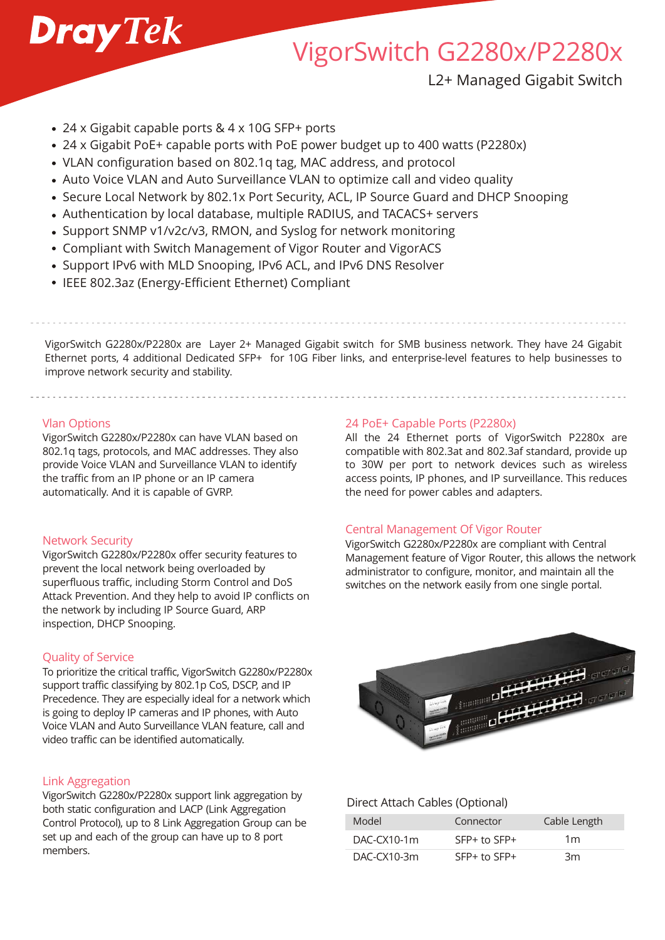

# VigorSwitch G2280x/P2280x

L2+ Managed Gigabit Switch

- 24 x Gigabit capable ports & 4 x 10G SFP+ ports
- 24 x Gigabit PoE+ capable ports with PoE power budget up to 400 watts (P2280x)
- VLAN configuration based on 802.1q tag, MAC address, and protocol
- Auto Voice VLAN and Auto Surveillance VLAN to optimize call and video quality
- Secure Local Network by 802.1x Port Security, ACL, IP Source Guard and DHCP Snooping
- Authentication by local database, multiple RADIUS, and TACACS+ servers
- Support SNMP v1/v2c/v3, RMON, and Syslog for network monitoring
- Compliant with Switch Management of Vigor Router and VigorACS
- Support IPv6 with MLD Snooping, IPv6 ACL, and IPv6 DNS Resolver
- IEEE 802.3az (Energy-Efficient Ethernet) Compliant

VigorSwitch G2280x/P2280x are Layer 2+ Managed Gigabit switch for SMB business network. They have 24 Gigabit Ethernet ports, 4 additional Dedicated SFP+ for 10G Fiber links, and enterprise-level features to help businesses to improve network security and stability.

#### Vlan Options

VigorSwitch G2280x/P2280x can have VLAN based on 802.1q tags, protocols, and MAC addresses. They also provide Voice VLAN and Surveillance VLAN to identify the traffic from an IP phone or an IP camera automatically. And it is capable of GVRP.

#### Network Security

VigorSwitch G2280x/P2280x offer security features to prevent the local network being overloaded by superfluous traffic, including Storm Control and DoS Attack Prevention. And they help to avoid IP conflicts on the network by including IP Source Guard, ARP inspection, DHCP Snooping.

## Quality of Service

To prioritize the critical traffic, VigorSwitch G2280x/P2280x support traffic classifying by 802.1p CoS, DSCP, and IP Precedence. They are especially ideal for a network which is going to deploy IP cameras and IP phones, with Auto Voice VLAN and Auto Surveillance VLAN feature, call and video traffic can be identified automatically.

## Link Aggregation

VigorSwitch G2280x/P2280x support link aggregation by both static configuration and LACP (Link Aggregation Control Protocol), up to 8 Link Aggregation Group can be set up and each of the group can have up to 8 port members.

#### 24 PoE+ Capable Ports (P2280x)

All the 24 Ethernet ports of VigorSwitch P2280x are compatible with 802.3at and 802.3af standard, provide up to 30W per port to network devices such as wireless access points, IP phones, and IP surveillance. This reduces the need for power cables and adapters.

## Central Management Of Vigor Router

VigorSwitch G2280x/P2280x are compliant with Central Management feature of Vigor Router, this allows the network administrator to configure, monitor, and maintain all the switches on the network easily from one single portal.



## Direct Attach Cables (Optional)

| Model         | Connector        | Cable Length   |
|---------------|------------------|----------------|
| $DAC-CX10-1m$ | $SFP+$ to $SFP+$ | 1 <sub>m</sub> |
| $DAC-CX10-3m$ | $SFP+$ to $SFP+$ | 3m             |